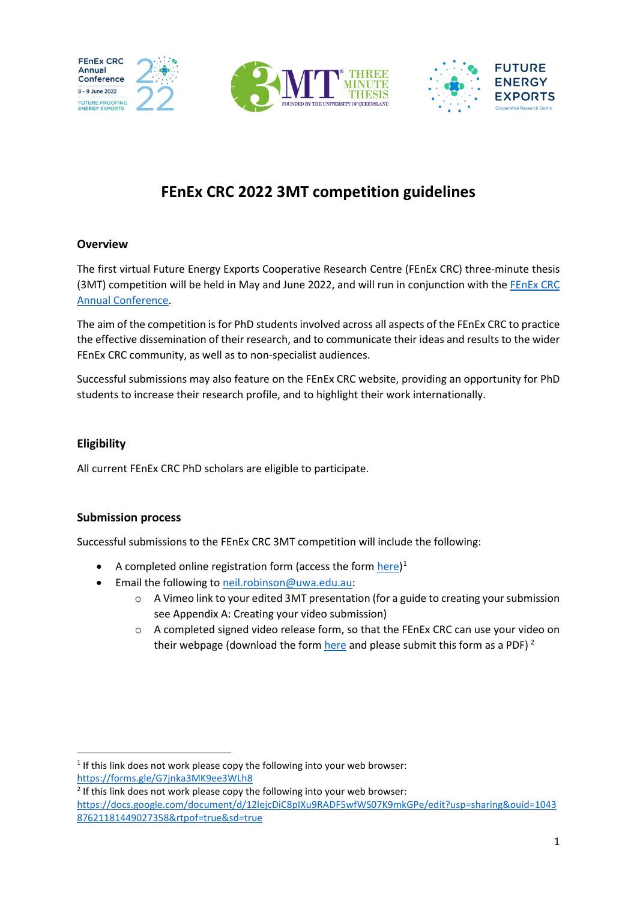

# **FEnEx CRC 2022 3MT competition guidelines**

#### **Overview**

The first virtual Future Energy Exports Cooperative Research Centre (FEnEx CRC) three-minute thesis (3MT) competition will be held in May and June 2022, and will run in conjunction with the [FEnEx](https://www.fenex.org.au/conference-2022-future-proofing-our-energy-exports-8-9-june-fremantle-western-australia/) CRC [Annual Conference.](https://www.fenex.org.au/conference-2022-future-proofing-our-energy-exports-8-9-june-fremantle-western-australia/)

The aim of the competition is for PhD students involved across all aspects of the FEnEx CRC to practice the effective dissemination of their research, and to communicate their ideas and results to the wider FEnEx CRC community, as well as to non-specialist audiences.

Successful submissions may also feature on the FEnEx CRC website, providing an opportunity for PhD students to increase their research profile, and to highlight their work internationally.

#### **Eligibility**

All current FEnEx CRC PhD scholars are eligible to participate.

#### **Submission process**

Successful submissions to the FEnEx CRC 3MT competition will include the following:

- A completed online registration form (access the for[m here\)](https://forms.gle/G7jnka3MK9ee3WLh8)<sup>[1](#page-0-0)</sup>
- Email the following to [neil.robinson@uwa.edu.au:](mailto:neil.robinson@uwa.edu.au)
	- o A Vimeo link to your edited 3MT presentation (for a guide to creating your submission see Appendix A: Creating your video submission)
	- $\circ$  A completed signed video release form, so that the FEnEx CRC can use your video on their webpage (download the form [here](https://docs.google.com/document/d/12lejcDiC8pIXu9RADF5wfWS07K9mkGPe/edit?usp=sharing&ouid=104387621181449027358&rtpof=true&sd=true) and please submit this form as a PDF)<sup>[2](#page-0-1)</sup>

<span id="page-0-0"></span> $1$  If this link does not work please copy the following into your web browser: <https://forms.gle/G7jnka3MK9ee3WLh8>

<span id="page-0-1"></span><sup>&</sup>lt;sup>2</sup> If this link does not work please copy the following into your web browser: [https://docs.google.com/document/d/12lejcDiC8pIXu9RADF5wfWS07K9mkGPe/edit?usp=sharing&ouid=1043](https://docs.google.com/document/d/12lejcDiC8pIXu9RADF5wfWS07K9mkGPe/edit?usp=sharing&ouid=104387621181449027358&rtpof=true&sd=true) [87621181449027358&rtpof=true&sd=true](https://docs.google.com/document/d/12lejcDiC8pIXu9RADF5wfWS07K9mkGPe/edit?usp=sharing&ouid=104387621181449027358&rtpof=true&sd=true)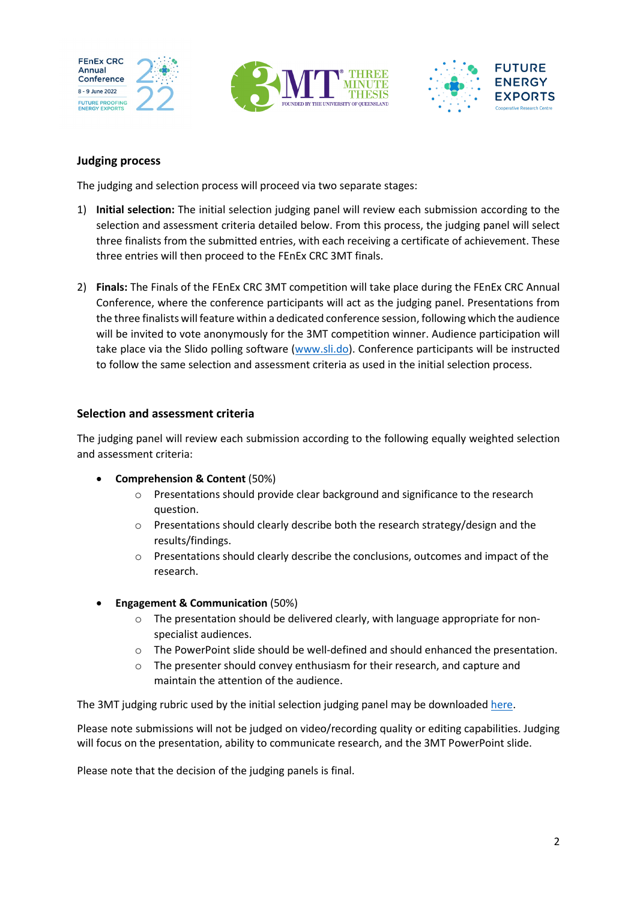





# **Judging process**

The judging and selection process will proceed via two separate stages:

- 1) **Initial selection:** The initial selection judging panel will review each submission according to the selection and assessment criteria detailed below. From this process, the judging panel will select three finalists from the submitted entries, with each receiving a certificate of achievement. These three entries will then proceed to the FEnEx CRC 3MT finals.
- 2) **Finals:** The Finals of the FEnEx CRC 3MT competition will take place during the FEnEx CRC Annual Conference, where the conference participants will act as the judging panel. Presentations from the three finalists will feature within a dedicated conference session, following which the audience will be invited to vote anonymously for the 3MT competition winner. Audience participation will take place via the Slido polling software [\(www.sli.do\)](http://www.sli.do/). Conference participants will be instructed to follow the same selection and assessment criteria as used in the initial selection process.

## **Selection and assessment criteria**

The judging panel will review each submission according to the following equally weighted selection and assessment criteria:

- **Comprehension & Content** (50%)
	- o Presentations should provide clear background and significance to the research question.
	- $\circ$  Presentations should clearly describe both the research strategy/design and the results/findings.
	- o Presentations should clearly describe the conclusions, outcomes and impact of the research.
- **Engagement & Communication** (50%)
	- $\circ$  The presentation should be delivered clearly, with language appropriate for nonspecialist audiences.
	- o The PowerPoint slide should be well-defined and should enhanced the presentation.
	- o The presenter should convey enthusiasm for their research, and capture and maintain the attention of the audience.

The 3MT judging rubric used by the initial selection judging panel may be downloaded [here.](https://drive.google.com/file/d/1QV2sr4KyZ8W8FbXTaYRAwktZ8gBWKBlF/view?usp=sharing)

Please note submissions will not be judged on video/recording quality or editing capabilities. Judging will focus on the presentation, ability to communicate research, and the 3MT PowerPoint slide.

Please note that the decision of the judging panels is final.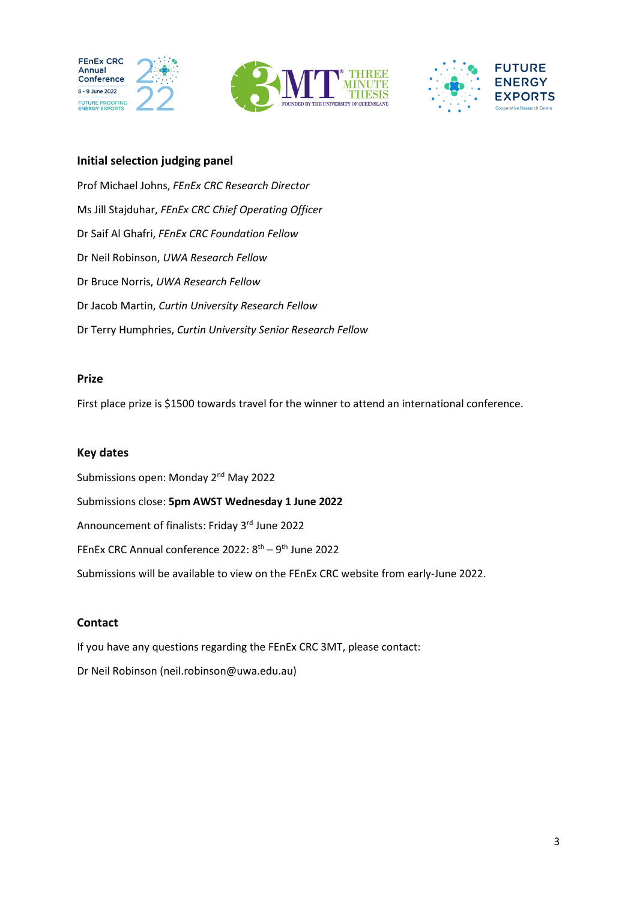





## **Initial selection judging panel**

Prof Michael Johns, *FEnEx CRC Research Director* Ms Jill Stajduhar, *FEnEx CRC Chief Operating Officer* Dr Saif Al Ghafri, *FEnEx CRC Foundation Fellow* Dr Neil Robinson, *UWA Research Fellow* Dr Bruce Norris, *UWA Research Fellow* Dr Jacob Martin, *Curtin University Research Fellow* Dr Terry Humphries, *Curtin University Senior Research Fellow* 

#### **Prize**

First place prize is \$1500 towards travel for the winner to attend an international conference.

### **Key dates**

Submissions open: Monday 2<sup>nd</sup> May 2022 Submissions close: **5pm AWST Wednesday 1 June 2022** Announcement of finalists: Friday 3rd June 2022 FEnEx CRC Annual conference 2022: 8<sup>th</sup> – 9<sup>th</sup> June 2022 Submissions will be available to view on the FEnEx CRC website from early-June 2022.

## **Contact**

If you have any questions regarding the FEnEx CRC 3MT, please contact: Dr Neil Robinson (neil.robinson@uwa.edu.au)